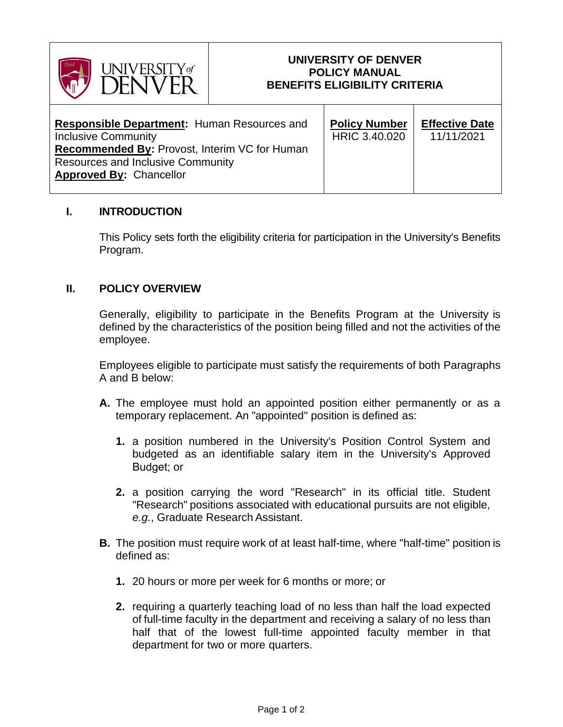

### **UNIVERSITY OF DENVER POLICY MANUAL BENEFITS ELIGIBILITY CRITERIA**

| <b>Responsible Department: Human Resources and</b><br><b>Inclusive Community</b><br><b>Recommended By: Provost, Interim VC for Human</b><br><b>Resources and Inclusive Community</b><br><b>Approved By: Chancellor</b> | <b>Policy Number</b><br>HRIC 3.40.020 | <b>Effective Date</b><br>11/11/2021 |
|------------------------------------------------------------------------------------------------------------------------------------------------------------------------------------------------------------------------|---------------------------------------|-------------------------------------|
|                                                                                                                                                                                                                        |                                       |                                     |

# **I. INTRODUCTION**

This Policy sets forth the eligibility criteria for participation in the University's Benefits Program.

## **II. POLICY OVERVIEW**

Generally, eligibility to participate in the Benefits Program at the University is defined by the characteristics of the position being filled and not the activities of the employee.

Employees eligible to participate must satisfy the requirements of both Paragraphs A and B below:

- **A.** The employee must hold an appointed position either permanently or as a temporary replacement. An "appointed" position is defined as:
	- **1.** a position numbered in the University's Position Control System and budgeted as an identifiable salary item in the University's Approved Budget; or
	- **2.** a position carrying the word "Research" in its official title. Student "Research" positions associated with educational pursuits are not eligible, *e.g.*, Graduate Research Assistant.
- **B.** The position must require work of at least half-time, where "half-time" position is defined as:
	- **1.** 20 hours or more per week for 6 months or more; or
	- **2.** requiring a quarterly teaching load of no less than half the load expected of full-time faculty in the department and receiving a salary of no less than half that of the lowest full-time appointed faculty member in that department for two or more quarters.